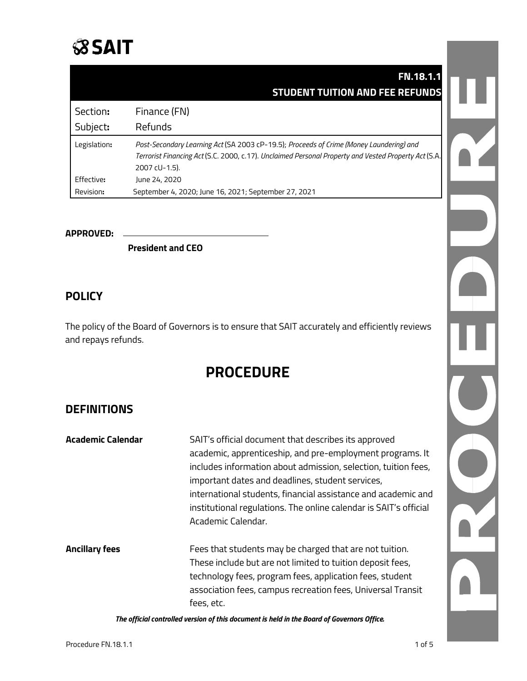## **SSAIT**

|              | <b>FN.18.1.1</b>                                                                                                                                                                                                 |
|--------------|------------------------------------------------------------------------------------------------------------------------------------------------------------------------------------------------------------------|
|              | <b>STUDENT TUITION AND FEE REFUNDS</b>                                                                                                                                                                           |
| Section:     | Finance (FN)                                                                                                                                                                                                     |
| Subject:     | Refunds                                                                                                                                                                                                          |
| Legislation: | Post-Secondary Learning Act (SA 2003 cP-19.5); Proceeds of Crime (Money Laundering) and<br>Terrorist Financing Act (S.C. 2000, c.17). Unclaimed Personal Property and Vested Property Act (S.A.<br>2007 cU-1.5). |
| Effective:   | lune 24, 2020                                                                                                                                                                                                    |
| Revision:    | September 4, 2020; June 16, 2021; September 27, 2021                                                                                                                                                             |

#### **APPROVED:**

**President and CEO** 

### **POLICY**

The policy of the Board of Governors is to ensure that SAIT accurately and efficiently reviews and repays refunds.

## **PROCEDURE**

## **DEFINITIONS**

| Academic Calendar     | SAIT's official document that describes its approved<br>academic, apprenticeship, and pre-employment programs. It<br>includes information about admission, selection, tuition fees,<br>important dates and deadlines, student services,<br>international students, financial assistance and academic and<br>institutional regulations. The online calendar is SAIT's official<br>Academic Calendar. |
|-----------------------|-----------------------------------------------------------------------------------------------------------------------------------------------------------------------------------------------------------------------------------------------------------------------------------------------------------------------------------------------------------------------------------------------------|
| <b>Ancillary fees</b> | Fees that students may be charged that are not tuition.<br>These include but are not limited to tuition deposit fees,<br>technology fees, program fees, application fees, student<br>association fees, campus recreation fees, Universal Transit<br>fees, etc.                                                                                                                                      |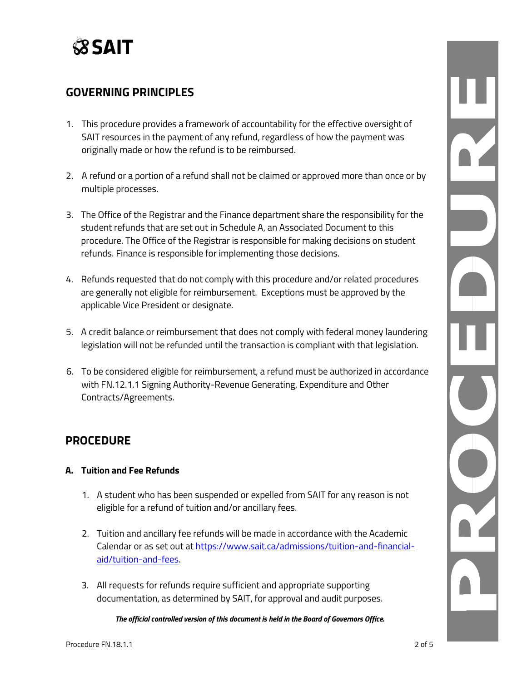

## **GOVERNING PRINCIPLES**

- 1. This procedure provides a framework of accountability for the effective oversight of SAIT resources in the payment of any refund, regardless of how the payment was originally made or how the refund is to be reimbursed.
- 2. A refund or a portion of a refund shall not be claimed or approved more than once or by multiple processes.
- 3. The Office of the Registrar and the Finance department share the responsibility for the student refunds that are set out in Schedule A, an Associated Document to this procedure. The Office of the Registrar is responsible for making decisions on student refunds. Finance is responsible for implementing those decisions.
- 4. Refunds requested that do not comply with this procedure and/or related procedures are generally not eligible for reimbursement. Exceptions must be approved by the applicable Vice President or designate.
- 5. A credit balance or reimbursement that does not comply with federal money laundering legislation will not be refunded until the transaction is compliant with that legislation.
- 6. To be considered eligible for reimbursement, a refund must be authorized in accordance with FN.12.1.1 Signing Authority-Revenue Generating, Expenditure and Other Contracts/Agreements.

## **PROCEDURE**

### **A. Tuition and Fee Refunds**

- 1. A student who has been suspended or expelled from SAIT for any reason is not eligible for a refund of tuition and/or ancillary fees.
- 2. Tuition and ancillary fee refunds will be made in accordance with the Academic Calendar or as set out at [https://www.sait.ca/admissions/tuition-and-financial](https://www.sait.ca/admissions/tuition-and-financial-aid/tuition-and-fees)[aid/tuition-and-fees.](https://www.sait.ca/admissions/tuition-and-financial-aid/tuition-and-fees)
- 3. All requests for refunds require sufficient and appropriate supporting documentation, as determined by SAIT, for approval and audit purposes.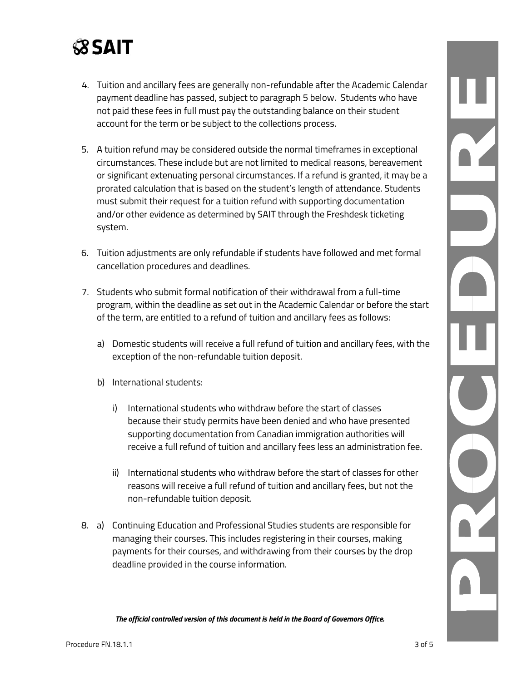# **SSAIT**

- 4. Tuition and ancillary fees are generally non-refundable after the Academic Calendar payment deadline has passed, subject to paragraph 5 below. Students who have not paid these fees in full must pay the outstanding balance on their student account for the term or be subject to the collections process.
- 5. A tuition refund may be considered outside the normal timeframes in exceptional circumstances. These include but are not limited to medical reasons, bereavement or significant extenuating personal circumstances. If a refund is granted, it may be a prorated calculation that is based on the student's length of attendance. Students must submit their request for a tuition refund with supporting documentation and/or other evidence as determined by SAIT through the Freshdesk ticketing system.
- 6. Tuition adjustments are only refundable if students have followed and met formal cancellation procedures and deadlines.
- 7. Students who submit formal notification of their withdrawal from a full-time program, within the deadline as set out in the Academic Calendar or before the start of the term, are entitled to a refund of tuition and ancillary fees as follows:
	- a) Domestic students will receive a full refund of tuition and ancillary fees, with the exception of the non-refundable tuition deposit.
	- b) International students:
		- i) International students who withdraw before the start of classes because their study permits have been denied and who have presented supporting documentation from Canadian immigration authorities will receive a full refund of tuition and ancillary fees less an administration fee.
		- ii) International students who withdraw before the start of classes for other reasons will receive a full refund of tuition and ancillary fees, but not the non-refundable tuition deposit.
- 8. a) Continuing Education and Professional Studies students are responsible for managing their courses. This includes registering in their courses, making payments for their courses, and withdrawing from their courses by the drop deadline provided in the course information.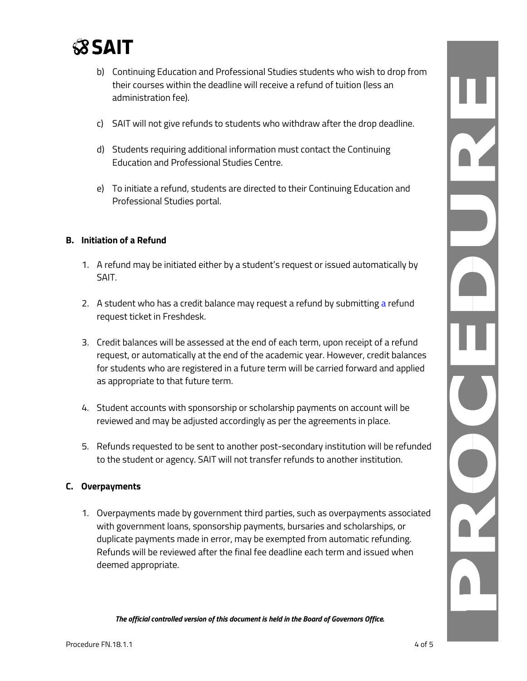

- b) Continuing Education and Professional Studies students who wish to drop from their courses within the deadline will receive a refund of tuition (less an administration fee).
- c) SAIT will not give refunds to students who withdraw after the drop deadline.
- d) Students requiring additional information must contact the Continuing Education and Professional Studies Centre.
- e) To initiate a refund, students are directed to their Continuing Education and Professional Studies portal.

### **B. Initiation of a Refund**

- 1. A refund may be initiated either by a student's request or issued automatically by SAIT.
- 2. A student who has a credit balance may request a refund by submitting a refund request ticket in Freshdesk.
- 3. Credit balances will be assessed at the end of each term, upon receipt of a refund request, or automatically at the end of the academic year. However, credit balances for students who are registered in a future term will be carried forward and applied as appropriate to that future term.
- 4. Student accounts with sponsorship or scholarship payments on account will be reviewed and may be adjusted accordingly as per the agreements in place.
- 5. Refunds requested to be sent to another post-secondary institution will be refunded to the student or agency. SAIT will not transfer refunds to another institution.

### **C. Overpayments**

1. Overpayments made by government third parties, such as overpayments associated with government loans, sponsorship payments, bursaries and scholarships, or duplicate payments made in error, may be exempted from automatic refunding. Refunds will be reviewed after the final fee deadline each term and issued when deemed appropriate.